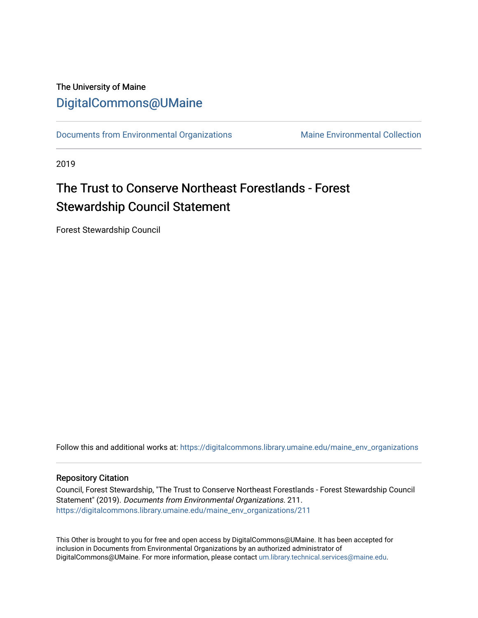# The University of Maine [DigitalCommons@UMaine](https://digitalcommons.library.umaine.edu/)

[Documents from Environmental Organizations](https://digitalcommons.library.umaine.edu/maine_env_organizations) Maine Environmental Collection

2019

# The Trust to Conserve Northeast Forestlands - Forest Stewardship Council Statement

Forest Stewardship Council

Follow this and additional works at: [https://digitalcommons.library.umaine.edu/maine\\_env\\_organizations](https://digitalcommons.library.umaine.edu/maine_env_organizations?utm_source=digitalcommons.library.umaine.edu%2Fmaine_env_organizations%2F211&utm_medium=PDF&utm_campaign=PDFCoverPages)

#### Repository Citation

Council, Forest Stewardship, "The Trust to Conserve Northeast Forestlands - Forest Stewardship Council Statement" (2019). Documents from Environmental Organizations. 211. [https://digitalcommons.library.umaine.edu/maine\\_env\\_organizations/211](https://digitalcommons.library.umaine.edu/maine_env_organizations/211?utm_source=digitalcommons.library.umaine.edu%2Fmaine_env_organizations%2F211&utm_medium=PDF&utm_campaign=PDFCoverPages)

This Other is brought to you for free and open access by DigitalCommons@UMaine. It has been accepted for inclusion in Documents from Environmental Organizations by an authorized administrator of DigitalCommons@UMaine. For more information, please contact [um.library.technical.services@maine.edu](mailto:um.library.technical.services@maine.edu).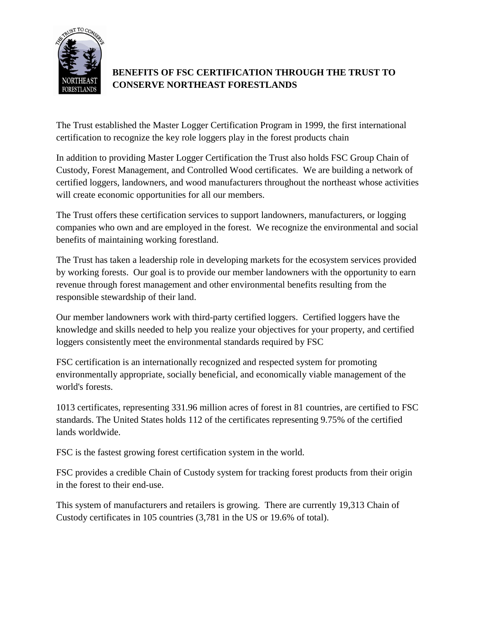

## **BENEFITS OF FSC CERTIFICATION THROUGH THE TRUST TO CONSERVE NORTHEAST FORESTLANDS**

The Trust established the Master Logger Certification Program in 1999, the first international certification to recognize the key role loggers play in the forest products chain

In addition to providing Master Logger Certification the Trust also holds FSC Group Chain of Custody, Forest Management, and Controlled Wood certificates. We are building a network of certified loggers, landowners, and wood manufacturers throughout the northeast whose activities will create economic opportunities for all our members.

The Trust offers these certification services to support landowners, manufacturers, or logging companies who own and are employed in the forest. We recognize the environmental and social benefits of maintaining working forestland.

The Trust has taken a leadership role in developing markets for the ecosystem services provided by working forests. Our goal is to provide our member landowners with the opportunity to earn revenue through forest management and other environmental benefits resulting from the responsible stewardship of their land.

Our member landowners work with third-party certified loggers. Certified loggers have the knowledge and skills needed to help you realize your objectives for your property, and certified loggers consistently meet the environmental standards required by FSC

FSC certification is an internationally recognized and respected system for promoting environmentally appropriate, socially beneficial, and economically viable management of the world's forests.

1013 certificates, representing 331.96 million acres of forest in 81 countries, are certified to FSC standards. The United States holds 112 of the certificates representing 9.75% of the certified lands worldwide.

FSC is the fastest growing forest certification system in the world.

FSC provides a credible Chain of Custody system for tracking forest products from their origin in the forest to their end-use.

This system of manufacturers and retailers is growing. There are currently 19,313 Chain of Custody certificates in 105 countries (3,781 in the US or 19.6% of total).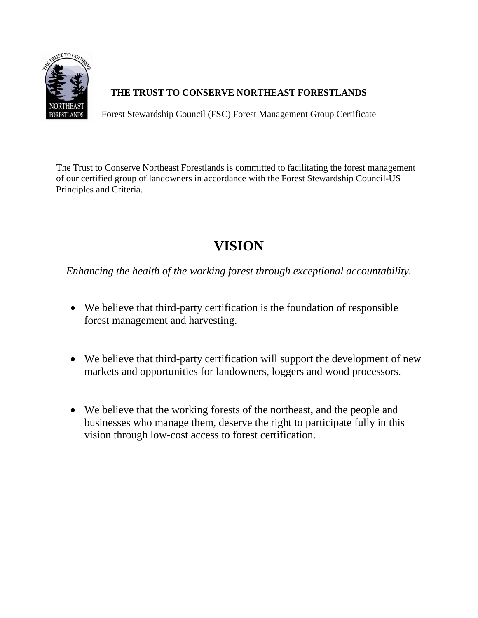

Forest Stewardship Council (FSC) Forest Management Group Certificate

The Trust to Conserve Northeast Forestlands is committed to facilitating the forest management of our certified group of landowners in accordance with the Forest Stewardship Council-US Principles and Criteria.

# **VISION**

*Enhancing the health of the working forest through exceptional accountability.* 

- We believe that third-party certification is the foundation of responsible forest management and harvesting.
- We believe that third-party certification will support the development of new markets and opportunities for landowners, loggers and wood processors.
- We believe that the working forests of the northeast, and the people and businesses who manage them, deserve the right to participate fully in this vision through low-cost access to forest certification.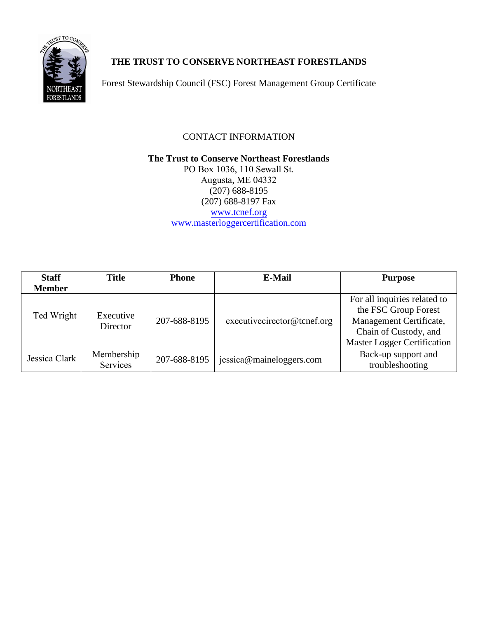

Forest Stewardship Council (FSC) Forest Management Group Certificate

### CONTACT INFORMATION

**The Trust to Conserve Northeast Forestlands**  PO Box 1036, 110 Sewall St. Augusta, ME 04332 (207) 688-8195 (207) 688-8197 Fax [www.tcnef.org](http://www.tcnef.org/) [www.masterloggercertification.com](http://www.masterloggercertification.com/)

| <b>Staff</b>  | <b>Title</b>          | <b>Phone</b> | E-Mail                      | <b>Purpose</b>                     |
|---------------|-----------------------|--------------|-----------------------------|------------------------------------|
| <b>Member</b> |                       |              |                             |                                    |
|               |                       |              |                             | For all inquiries related to       |
|               |                       |              |                             | the FSC Group Forest               |
| Ted Wright    | Executive<br>Director | 207-688-8195 | executivecirector@tcnef.org | Management Certificate,            |
|               |                       |              |                             | Chain of Custody, and              |
|               |                       |              |                             | <b>Master Logger Certification</b> |
| Jessica Clark | Membership            | 207-688-8195 | jessica@maineloggers.com    | Back-up support and                |
|               | Services              |              |                             | troubleshooting                    |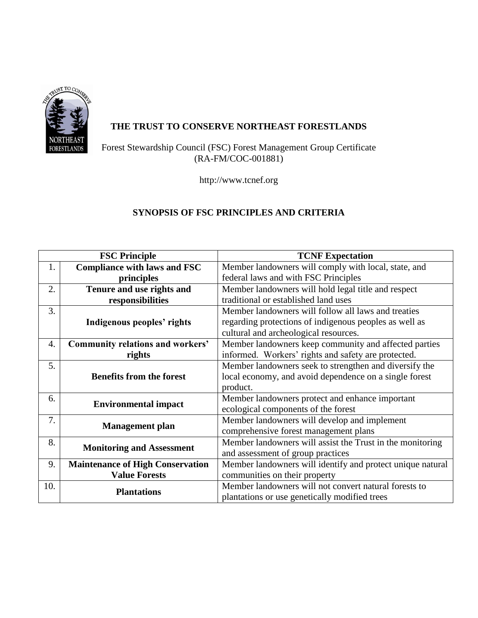

Forest Stewardship Council (FSC) Forest Management Group Certificate (RA-FM/COC-001881)

http://www.tcnef.org

## **SYNOPSIS OF FSC PRINCIPLES AND CRITERIA**

| <b>FSC Principle</b> |                                         | <b>TCNF Expectation</b>                                    |  |
|----------------------|-----------------------------------------|------------------------------------------------------------|--|
| 1.                   | <b>Compliance with laws and FSC</b>     | Member landowners will comply with local, state, and       |  |
|                      | principles                              | federal laws and with FSC Principles                       |  |
| 2.                   | Tenure and use rights and               | Member landowners will hold legal title and respect        |  |
| responsibilities     |                                         | traditional or established land uses                       |  |
| 3.                   |                                         | Member landowners will follow all laws and treaties        |  |
|                      | Indigenous peoples' rights              | regarding protections of indigenous peoples as well as     |  |
|                      |                                         | cultural and archeological resources.                      |  |
| 4.                   | <b>Community relations and workers'</b> | Member landowners keep community and affected parties      |  |
|                      | rights                                  | informed. Workers' rights and safety are protected.        |  |
| 5.                   |                                         | Member landowners seek to strengthen and diversify the     |  |
|                      | <b>Benefits from the forest</b>         | local economy, and avoid dependence on a single forest     |  |
|                      |                                         | product.                                                   |  |
| 6.                   | <b>Environmental impact</b>             | Member landowners protect and enhance important            |  |
|                      |                                         | ecological components of the forest                        |  |
| 7.                   | <b>Management</b> plan                  | Member landowners will develop and implement               |  |
|                      |                                         | comprehensive forest management plans                      |  |
| 8.                   | <b>Monitoring and Assessment</b>        | Member landowners will assist the Trust in the monitoring  |  |
|                      |                                         | and assessment of group practices                          |  |
| 9.                   | <b>Maintenance of High Conservation</b> | Member landowners will identify and protect unique natural |  |
|                      | <b>Value Forests</b>                    | communities on their property                              |  |
| 10.                  | <b>Plantations</b>                      | Member landowners will not convert natural forests to      |  |
|                      |                                         | plantations or use genetically modified trees              |  |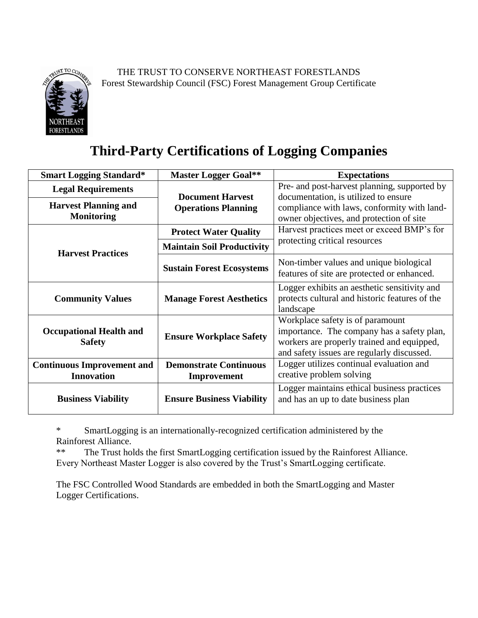

THE TRUST TO CONSERVE NORTHEAST FORESTLANDS Forest Stewardship Council (FSC) Forest Management Group Certificate

# **Third-Party Certifications of Logging Companies**

| <b>Smart Logging Standard*</b>                         | <b>Master Logger Goal**</b>                  | <b>Expectations</b>                                                                                                                                                        |
|--------------------------------------------------------|----------------------------------------------|----------------------------------------------------------------------------------------------------------------------------------------------------------------------------|
| <b>Legal Requirements</b>                              |                                              | Pre- and post-harvest planning, supported by                                                                                                                               |
|                                                        | <b>Document Harvest</b>                      | documentation, is utilized to ensure                                                                                                                                       |
| <b>Harvest Planning and</b>                            | <b>Operations Planning</b>                   | compliance with laws, conformity with land-                                                                                                                                |
| <b>Monitoring</b>                                      |                                              | owner objectives, and protection of site                                                                                                                                   |
|                                                        | <b>Protect Water Quality</b>                 | Harvest practices meet or exceed BMP's for                                                                                                                                 |
| <b>Harvest Practices</b>                               | <b>Maintain Soil Productivity</b>            | protecting critical resources                                                                                                                                              |
|                                                        | <b>Sustain Forest Ecosystems</b>             | Non-timber values and unique biological<br>features of site are protected or enhanced.                                                                                     |
| <b>Community Values</b>                                | <b>Manage Forest Aesthetics</b>              | Logger exhibits an aesthetic sensitivity and<br>protects cultural and historic features of the<br>landscape                                                                |
| <b>Occupational Health and</b><br><b>Safety</b>        | <b>Ensure Workplace Safety</b>               | Workplace safety is of paramount<br>importance. The company has a safety plan,<br>workers are properly trained and equipped,<br>and safety issues are regularly discussed. |
| <b>Continuous Improvement and</b><br><b>Innovation</b> | <b>Demonstrate Continuous</b><br>Improvement | Logger utilizes continual evaluation and<br>creative problem solving                                                                                                       |
| <b>Business Viability</b>                              | <b>Ensure Business Viability</b>             | Logger maintains ethical business practices<br>and has an up to date business plan                                                                                         |

\* SmartLogging is an internationally-recognized certification administered by the Rainforest Alliance.

\*\* The Trust holds the first SmartLogging certification issued by the Rainforest Alliance. Every Northeast Master Logger is also covered by the Trust's SmartLogging certificate.

The FSC Controlled Wood Standards are embedded in both the SmartLogging and Master Logger Certifications.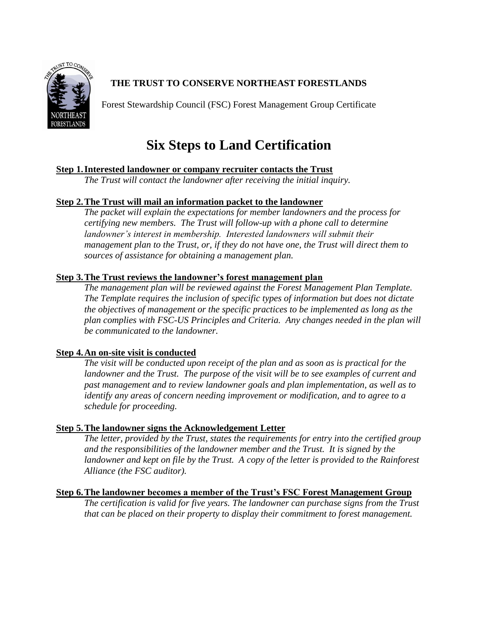

Forest Stewardship Council (FSC) Forest Management Group Certificate

# **Six Steps to Land Certification**

### **Step 1. Interested landowner or company recruiter contacts the Trust**

*The Trust will contact the landowner after receiving the initial inquiry.* 

### **Step 2. The Trust will mail an information packet to the landowner**

*The packet will explain the expectations for member landowners and the process for certifying new members. The Trust will follow-up with a phone call to determine landowner's interest in membership. Interested landowners will submit their management plan to the Trust, or, if they do not have one, the Trust will direct them to sources of assistance for obtaining a management plan.*

### **Step 3. The Trust reviews the landowner's forest management plan**

*The management plan will be reviewed against the Forest Management Plan Template. The Template requires the inclusion of specific types of information but does not dictate the objectives of management or the specific practices to be implemented as long as the plan complies with FSC-US Principles and Criteria. Any changes needed in the plan will be communicated to the landowner.* 

### **Step 4. An on-site visit is conducted**

*The visit will be conducted upon receipt of the plan and as soon as is practical for the landowner and the Trust. The purpose of the visit will be to see examples of current and past management and to review landowner goals and plan implementation, as well as to identify any areas of concern needing improvement or modification, and to agree to a schedule for proceeding.* 

### **Step 5. The landowner signs the Acknowledgement Letter**

*The letter, provided by the Trust, states the requirements for entry into the certified group and the responsibilities of the landowner member and the Trust. It is signed by the*  landowner and kept on file by the Trust. A copy of the letter is provided to the Rainforest *Alliance (the FSC auditor).* 

### **Step 6. The landowner becomes a member of the Trust's FSC Forest Management Group**

*The certification is valid for five years. The landowner can purchase signs from the Trust that can be placed on their property to display their commitment to forest management.*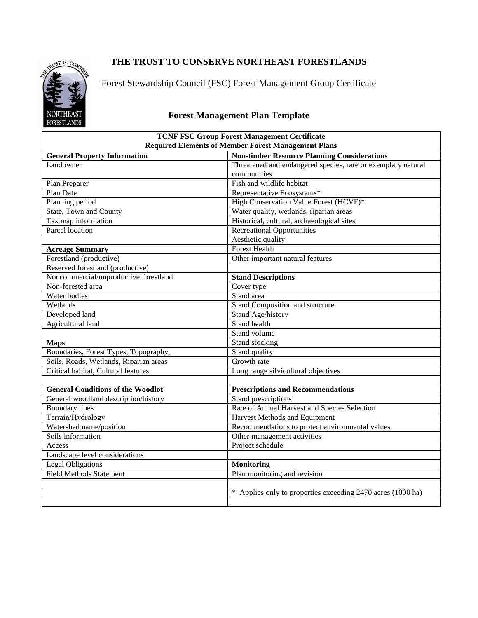

Forest Stewardship Council (FSC) Forest Management Group Certificate

# **Forest Management Plan Template**

| <b>TCNF FSC Group Forest Management Certificate</b><br><b>Required Elements of Member Forest Management Plans</b> |                                                              |  |  |  |
|-------------------------------------------------------------------------------------------------------------------|--------------------------------------------------------------|--|--|--|
| <b>General Property Information</b>                                                                               | <b>Non-timber Resource Planning Considerations</b>           |  |  |  |
| Landowner                                                                                                         | Threatened and endangered species, rare or exemplary natural |  |  |  |
|                                                                                                                   | communities                                                  |  |  |  |
| Plan Preparer                                                                                                     | Fish and wildlife habitat                                    |  |  |  |
| Plan Date                                                                                                         | Representative Ecosystems*                                   |  |  |  |
| Planning period                                                                                                   | High Conservation Value Forest (HCVF)*                       |  |  |  |
| State, Town and County                                                                                            | Water quality, wetlands, riparian areas                      |  |  |  |
| Tax map information                                                                                               | Historical, cultural, archaeological sites                   |  |  |  |
| Parcel location                                                                                                   | <b>Recreational Opportunities</b>                            |  |  |  |
|                                                                                                                   | Aesthetic quality                                            |  |  |  |
| <b>Acreage Summary</b>                                                                                            | <b>Forest Health</b>                                         |  |  |  |
| Forestland (productive)                                                                                           | Other important natural features                             |  |  |  |
| Reserved forestland (productive)                                                                                  |                                                              |  |  |  |
| Noncommercial/unproductive forestland                                                                             | <b>Stand Descriptions</b>                                    |  |  |  |
| Non-forested area                                                                                                 | Cover type                                                   |  |  |  |
| Water bodies                                                                                                      | Stand area                                                   |  |  |  |
| Wetlands                                                                                                          | Stand Composition and structure                              |  |  |  |
| Developed land                                                                                                    | Stand Age/history                                            |  |  |  |
| Agricultural land                                                                                                 | Stand health                                                 |  |  |  |
|                                                                                                                   | Stand volume                                                 |  |  |  |
| <b>Maps</b>                                                                                                       | Stand stocking                                               |  |  |  |
| Boundaries, Forest Types, Topography,                                                                             | Stand quality                                                |  |  |  |
| Soils, Roads, Wetlands, Riparian areas                                                                            | Growth rate                                                  |  |  |  |
| Critical habitat, Cultural features                                                                               | Long range silvicultural objectives                          |  |  |  |
|                                                                                                                   |                                                              |  |  |  |
| <b>General Conditions of the Woodlot</b>                                                                          | <b>Prescriptions and Recommendations</b>                     |  |  |  |
| General woodland description/history                                                                              | Stand prescriptions                                          |  |  |  |
| <b>Boundary lines</b>                                                                                             | Rate of Annual Harvest and Species Selection                 |  |  |  |
| Terrain/Hydrology                                                                                                 | Harvest Methods and Equipment                                |  |  |  |
| Watershed name/position                                                                                           | Recommendations to protect environmental values              |  |  |  |
| Soils information                                                                                                 | Other management activities                                  |  |  |  |
| Access                                                                                                            | Project schedule                                             |  |  |  |
| Landscape level considerations                                                                                    |                                                              |  |  |  |
| <b>Legal Obligations</b>                                                                                          | <b>Monitoring</b>                                            |  |  |  |
| <b>Field Methods Statement</b>                                                                                    | Plan monitoring and revision                                 |  |  |  |
|                                                                                                                   |                                                              |  |  |  |
|                                                                                                                   | * Applies only to properties exceeding 2470 acres (1000 ha)  |  |  |  |
|                                                                                                                   |                                                              |  |  |  |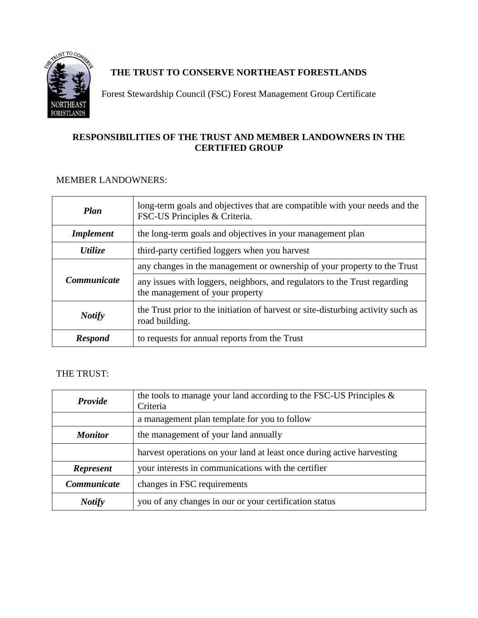

Forest Stewardship Council (FSC) Forest Management Group Certificate

### **RESPONSIBILITIES OF THE TRUST AND MEMBER LANDOWNERS IN THE CERTIFIED GROUP**

### MEMBER LANDOWNERS:

| <b>Plan</b>                                                     | long-term goals and objectives that are compatible with your needs and the<br>FSC-US Principles & Criteria.  |
|-----------------------------------------------------------------|--------------------------------------------------------------------------------------------------------------|
| <i>Implement</i>                                                | the long-term goals and objectives in your management plan                                                   |
| third-party certified loggers when you harvest<br>Utilize       |                                                                                                              |
|                                                                 | any changes in the management or ownership of your property to the Trust                                     |
| <i>Communicate</i>                                              | any issues with loggers, neighbors, and regulators to the Trust regarding<br>the management of your property |
| <b>Notify</b>                                                   | the Trust prior to the initiation of harvest or site-disturbing activity such as<br>road building.           |
| to requests for annual reports from the Trust<br><b>Respond</b> |                                                                                                              |

### THE TRUST:

| <b>Provide</b>                                         | the tools to manage your land according to the FSC-US Principles $\&$<br>Criteria |  |
|--------------------------------------------------------|-----------------------------------------------------------------------------------|--|
|                                                        | a management plan template for you to follow                                      |  |
| <b>Monitor</b><br>the management of your land annually |                                                                                   |  |
|                                                        | harvest operations on your land at least once during active harvesting            |  |
| <b>Represent</b>                                       | your interests in communications with the certifier                               |  |
| Communicate                                            | changes in FSC requirements                                                       |  |
| <b>Notify</b>                                          | you of any changes in our or your certification status                            |  |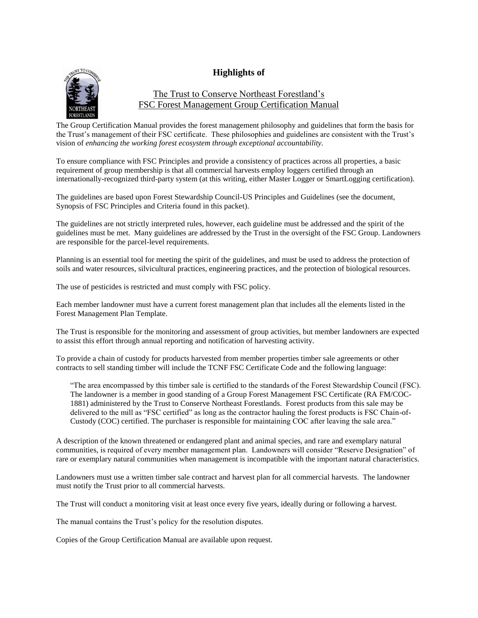#### **Highlights of**



#### The Trust to Conserve Northeast Forestland's FSC Forest Management Group Certification Manual

The Group Certification Manual provides the forest management philosophy and guidelines that form the basis for the Trust's management of their FSC certificate. These philosophies and guidelines are consistent with the Trust's vision of *enhancing the working forest ecosystem through exceptional accountability.*

To ensure compliance with FSC Principles and provide a consistency of practices across all properties, a basic requirement of group membership is that all commercial harvests employ loggers certified through an internationally-recognized third-party system (at this writing, either Master Logger or SmartLogging certification).

The guidelines are based upon Forest Stewardship Council-US Principles and Guidelines (see the document, Synopsis of FSC Principles and Criteria found in this packet).

The guidelines are not strictly interpreted rules, however, each guideline must be addressed and the spirit of the guidelines must be met. Many guidelines are addressed by the Trust in the oversight of the FSC Group. Landowners are responsible for the parcel-level requirements.

Planning is an essential tool for meeting the spirit of the guidelines, and must be used to address the protection of soils and water resources, silvicultural practices, engineering practices, and the protection of biological resources.

The use of pesticides is restricted and must comply with FSC policy.

Each member landowner must have a current forest management plan that includes all the elements listed in the Forest Management Plan Template.

The Trust is responsible for the monitoring and assessment of group activities, but member landowners are expected to assist this effort through annual reporting and notification of harvesting activity.

To provide a chain of custody for products harvested from member properties timber sale agreements or other contracts to sell standing timber will include the TCNF FSC Certificate Code and the following language:

"The area encompassed by this timber sale is certified to the standards of the Forest Stewardship Council (FSC). The landowner is a member in good standing of a Group Forest Management FSC Certificate (RA FM/COC-1881) administered by the Trust to Conserve Northeast Forestlands. Forest products from this sale may be delivered to the mill as "FSC certified" as long as the contractor hauling the forest products is FSC Chain-of-Custody (COC) certified. The purchaser is responsible for maintaining COC after leaving the sale area."

A description of the known threatened or endangered plant and animal species, and rare and exemplary natural communities, is required of every member management plan. Landowners will consider "Reserve Designation" of rare or exemplary natural communities when management is incompatible with the important natural characteristics.

Landowners must use a written timber sale contract and harvest plan for all commercial harvests. The landowner must notify the Trust prior to all commercial harvests.

The Trust will conduct a monitoring visit at least once every five years, ideally during or following a harvest.

The manual contains the Trust's policy for the resolution disputes.

Copies of the Group Certification Manual are available upon request.